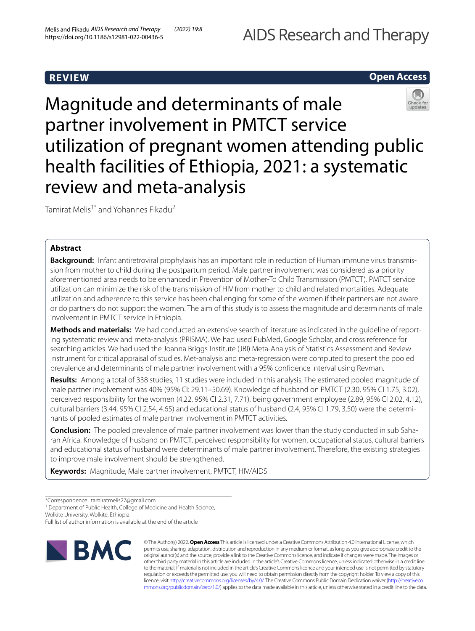# **REVIEW**

# **Open Access**



Tamirat Melis<sup>1\*</sup> and Yohannes Fikadu<sup>2</sup>

# **Abstract**

**Background:** Infant antiretroviral prophylaxis has an important role in reduction of Human immune virus transmission from mother to child during the postpartum period. Male partner involvement was considered as a priority aforementioned area needs to be enhanced in Prevention of Mother-To Child Transmission (PMTCT). PMTCT service utilization can minimize the risk of the transmission of HIV from mother to child and related mortalities. Adequate utilization and adherence to this service has been challenging for some of the women if their partners are not aware or do partners do not support the women. The aim of this study is to assess the magnitude and determinants of male involvement in PMTCT service in Ethiopia.

**Methods and materials:** We had conducted an extensive search of literature as indicated in the guideline of reporting systematic review and meta-analysis (PRISMA). We had used PubMed, Google Scholar, and cross reference for searching articles. We had used the Joanna Briggs Institute (JBI) Meta-Analysis of Statistics Assessment and Review Instrument for critical appraisal of studies. Met-analysis and meta-regression were computed to present the pooled prevalence and determinants of male partner involvement with a 95% confdence interval using Revman.

**Results:** Among a total of 338 studies, 11 studies were included in this analysis. The estimated pooled magnitude of male partner involvement was 40% (95% CI: 29.11–50.69). Knowledge of husband on PMTCT (2.30, 95% CI 1.75, 3.02), perceived responsibility for the women (4.22, 95% CI 2.31, 7.71), being government employee (2.89, 95% CI 2.02, 4.12), cultural barriers (3.44, 95% CI 2.54, 4.65) and educational status of husband (2.4, 95% CI 1.79, 3.50) were the determinants of pooled estimates of male partner involvement in PMTCT activities.

**Conclusion:** The pooled prevalence of male partner involvement was lower than the study conducted in sub Saharan Africa. Knowledge of husband on PMTCT, perceived responsibility for women, occupational status, cultural barriers and educational status of husband were determinants of male partner involvement. Therefore, the existing strategies to improve male involvement should be strengthened.

**Keywords:** Magnitude, Male partner involvement, PMTCT, HIV/AIDS

<sup>1</sup> Department of Public Health, College of Medicine and Health Science,

Wolkite University, Wolkite, Ethiopia

Full list of author information is available at the end of the article



© The Author(s) 2022. **Open Access** This article is licensed under a Creative Commons Attribution 4.0 International License, which permits use, sharing, adaptation, distribution and reproduction in any medium or format, as long as you give appropriate credit to the original author(s) and the source, provide a link to the Creative Commons licence, and indicate if changes were made. The images or other third party material in this article are included in the article's Creative Commons licence, unless indicated otherwise in a credit line to the material. If material is not included in the article's Creative Commons licence and your intended use is not permitted by statutory regulation or exceeds the permitted use, you will need to obtain permission directly from the copyright holder. To view a copy of this licence, visit [http://creativecommons.org/licenses/by/4.0/.](http://creativecommons.org/licenses/by/4.0/) The Creative Commons Public Domain Dedication waiver ([http://creativeco](http://creativecommons.org/publicdomain/zero/1.0/) [mmons.org/publicdomain/zero/1.0/](http://creativecommons.org/publicdomain/zero/1.0/)) applies to the data made available in this article, unless otherwise stated in a credit line to the data.

<sup>\*</sup>Correspondence: tamiratmelis27@gmail.com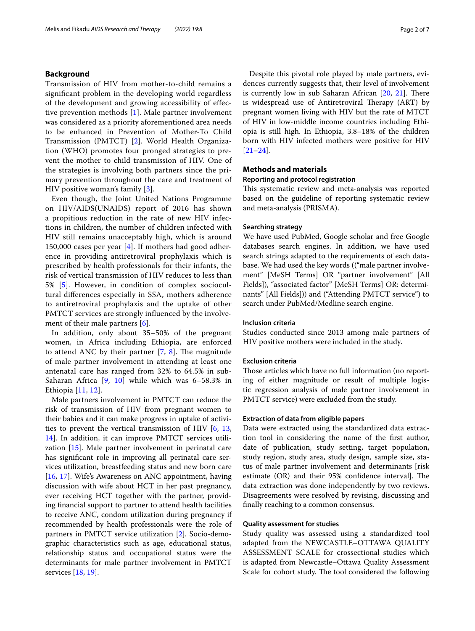## **Background**

Transmission of HIV from mother-to-child remains a signifcant problem in the developing world regardless of the development and growing accessibility of efective prevention methods [[1\]](#page-5-0). Male partner involvement was considered as a priority aforementioned area needs to be enhanced in Prevention of Mother-To Child Transmission (PMTCT) [\[2](#page-5-1)]. World Health Organization (WHO) promotes four pronged strategies to prevent the mother to child transmission of HIV. One of the strategies is involving both partners since the primary prevention throughout the care and treatment of HIV positive woman's family [\[3](#page-5-2)].

Even though, the Joint United Nations Programme on HIV/AIDS(UNAIDS) report of 2016 has shown a propitious reduction in the rate of new HIV infections in children, the number of children infected with HIV still remains unacceptably high, which is around 150,000 cases per year [[4\]](#page-5-3). If mothers had good adherence in providing antiretroviral prophylaxis which is prescribed by health professionals for their infants, the risk of vertical transmission of HIV reduces to less than 5% [\[5](#page-5-4)]. However, in condition of complex sociocultural diferences especially in SSA, mothers adherence to antiretroviral prophylaxis and the uptake of other PMTCT services are strongly infuenced by the involvement of their male partners [\[6](#page-5-5)].

In addition, only about 35–50% of the pregnant women, in Africa including Ethiopia, are enforced to attend ANC by their partner  $[7, 8]$  $[7, 8]$  $[7, 8]$  $[7, 8]$ . The magnitude of male partner involvement in attending at least one antenatal care has ranged from 32% to 64.5% in sub-Saharan Africa [[9,](#page-5-8) [10](#page-5-9)] while which was 6–58.3% in Ethiopia [[11,](#page-5-10) [12\]](#page-5-11).

Male partners involvement in PMTCT can reduce the risk of transmission of HIV from pregnant women to their babies and it can make progress in uptake of activities to prevent the vertical transmission of HIV [\[6](#page-5-5), [13](#page-5-12), [14\]](#page-6-0). In addition, it can improve PMTCT services utilization [\[15\]](#page-6-1). Male partner involvement in perinatal care has signifcant role in improving all perinatal care services utilization, breastfeeding status and new born care [[16,](#page-6-2) [17\]](#page-6-3). Wife's Awareness on ANC appointment, having discussion with wife about HCT in her past pregnancy, ever receiving HCT together with the partner, providing fnancial support to partner to attend health facilities to receive ANC, condom utilization during pregnancy if recommended by health professionals were the role of partners in PMTCT service utilization [[2\]](#page-5-1). Socio-demographic characteristics such as age, educational status, relationship status and occupational status were the determinants for male partner involvement in PMTCT services [[18](#page-6-4), [19\]](#page-6-5).

Despite this pivotal role played by male partners, evidences currently suggests that, their level of involvement is currently low in sub Saharan African  $[20, 21]$  $[20, 21]$  $[20, 21]$  $[20, 21]$ . There is widespread use of Antiretroviral Therapy (ART) by pregnant women living with HIV but the rate of MTCT of HIV in low-middle income countries including Ethiopia is still high. In Ethiopia, 3.8–18% of the children born with HIV infected mothers were positive for HIV [[21–](#page-6-7)[24\]](#page-6-8).

### **Methods and materials**

## **Reporting and protocol registration**

This systematic review and meta-analysis was reported based on the guideline of reporting systematic review and meta-analysis (PRISMA).

### **Searching strategy**

We have used PubMed, Google scholar and free Google databases search engines. In addition, we have used search strings adapted to the requirements of each database. We had used the key words (("male partner involvement" [MeSH Terms] OR "partner involvement" [All Fields]), "associated factor" [MeSH Terms] OR: determinants" [All Fields])) and ("Attending PMTCT service") to search under PubMed/Medline search engine.

### **Inclusion criteria**

Studies conducted since 2013 among male partners of HIV positive mothers were included in the study.

### **Exclusion criteria**

Those articles which have no full information (no reporting of either magnitude or result of multiple logistic regression analysis of male partner involvement in PMTCT service) were excluded from the study.

### **Extraction of data from eligible papers**

Data were extracted using the standardized data extraction tool in considering the name of the frst author, date of publication, study setting, target population, study region, study area, study design, sample size, status of male partner involvement and determinants [risk estimate  $(OR)$  and their 95% confidence interval]. The data extraction was done independently by two reviews. Disagreements were resolved by revising, discussing and fnally reaching to a common consensus.

### **Quality assessment for studies**

Study quality was assessed using a standardized tool adapted from the NEWCASTLE–OTTAWA QUALITY ASSESSMENT SCALE for crossectional studies which is adapted from Newcastle–Ottawa Quality Assessment Scale for cohort study. The tool considered the following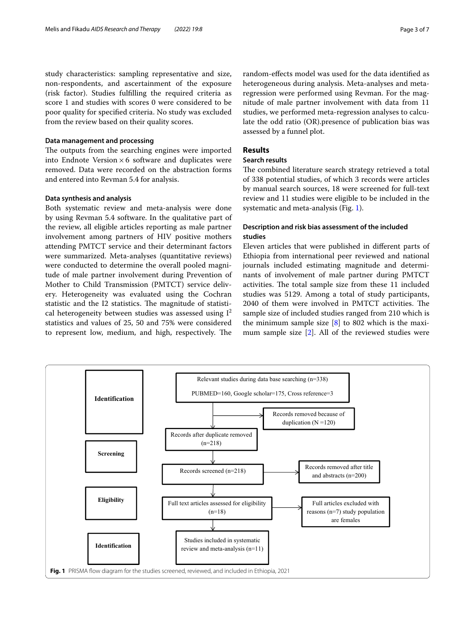study characteristics: sampling representative and size, non-respondents, and ascertainment of the exposure (risk factor). Studies fulflling the required criteria as score 1 and studies with scores 0 were considered to be poor quality for specifed criteria. No study was excluded from the review based on their quality scores.

# **Data management and processing**

The outputs from the searching engines were imported into Endnote Version  $\times$  6 software and duplicates were removed. Data were recorded on the abstraction forms and entered into Revman 5.4 for analysis.

# **Data synthesis and analysis**

Both systematic review and meta-analysis were done by using Revman 5.4 software. In the qualitative part of the review, all eligible articles reporting as male partner involvement among partners of HIV positive mothers attending PMTCT service and their determinant factors were summarized. Meta-analyses (quantitative reviews) were conducted to determine the overall pooled magnitude of male partner involvement during Prevention of Mother to Child Transmission (PMTCT) service delivery. Heterogeneity was evaluated using the Cochran statistic and the I2 statistics. The magnitude of statistical heterogeneity between studies was assessed using  $I^2$ statistics and values of 25, 50 and 75% were considered to represent low, medium, and high, respectively. The

random-efects model was used for the data identifed as heterogeneous during analysis. Meta-analyses and metaregression were performed using Revman. For the magnitude of male partner involvement with data from 11 studies, we performed meta-regression analyses to calculate the odd ratio (OR).presence of publication bias was assessed by a funnel plot.

# **Results**

# **Search results**

The combined literature search strategy retrieved a total of 338 potential studies, of which 3 records were articles by manual search sources, 18 were screened for full-text review and 11 studies were eligible to be included in the systematic and meta-analysis (Fig. [1\)](#page-2-0).

# **Description and risk bias assessment of the included studies**

Eleven articles that were published in diferent parts of Ethiopia from international peer reviewed and national journals included estimating magnitude and determinants of involvement of male partner during PMTCT activities. The total sample size from these 11 included studies was 5129. Among a total of study participants, 2040 of them were involved in PMTCT activities. The sample size of included studies ranged from 210 which is the minimum sample size  $[8]$  $[8]$  to 802 which is the maximum sample size [[2\]](#page-5-1). All of the reviewed studies were

<span id="page-2-0"></span>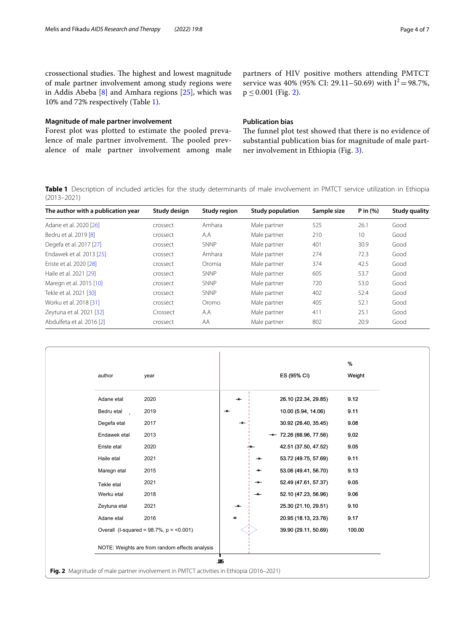crossectional studies. The highest and lowest magnitude of male partner involvement among study regions were in Addis Abeba [\[8](#page-5-7)] and Amhara regions [\[25\]](#page-6-9), which was 10% and 72% respectively (Table [1\)](#page-3-0).

### **Magnitude of male partner involvement**

Forest plot was plotted to estimate the pooled prevalence of male partner involvement. The pooled prevalence of male partner involvement among male partners of HIV positive mothers attending PMTCT service was 40% (95% CI: 29.11–50.69) with  $I^2 = 98.7$ %,  $p \le 0.001$  (Fig. [2\)](#page-3-1).

# **Publication bias**

The funnel plot test showed that there is no evidence of substantial publication bias for magnitude of male partner involvement in Ethiopia (Fig. [3](#page-4-0)).

<span id="page-3-0"></span>**Table 1** Description of included articles for the study determinants of male involvement in PMTCT service utilization in Ethiopia (2013–2021)

| The author with a publication year | Study design | <b>Study region</b> | <b>Study population</b> | Sample size | P in $(% )$<br>26.1 | <b>Study quality</b> |
|------------------------------------|--------------|---------------------|-------------------------|-------------|---------------------|----------------------|
| Adane et al. 2020 [26]             | crossect     | Amhara              | Male partner            | 525         |                     | Good                 |
| Bedru et al. 2019 [8]              | crossect     | A.A                 | Male partner            | 210         | 10                  | Good                 |
| Degefa et al. 2017 [27]            | crossect     | SNNP                | Male partner            | 401         | 30.9                | Good                 |
| Endawek et al. 2013 [25]           | crossect     | Amhara              | Male partner            | 274         | 72.3                | Good                 |
| Eriste et al. 2020 [28]            | crossect     | Oromia              | Male partner            | 374         | 42.5                | Good                 |
| Haile et al. 2021 [29]             | crossect     | SNNP                | Male partner            | 605         | 53.7                | Good                 |
| Maregn et al. 2015 [10]            | crossect     | <b>SNNP</b>         | Male partner            | 720         | 53.0                | Good                 |
| Tekle et al. 2021 [30]             | crossect     | SNNP                | Male partner            | 402         | 52.4                | Good                 |
| Worku et al. 2018 [31]             | crossect     | Oromo               | Male partner            | 405         | 52.1                | Good                 |
| Zeytuna et al. 2021 [32]           | Crossect     | A.A                 | Male partner            | 411         | 25.1                | Good                 |
| Abdulfeta et al. 2016 [2]          | crossect     | AA                  | Male partner            | 802         | 20.9                | Good                 |

<span id="page-3-1"></span>

|              |                                                |                          |              |               |                          | %      |
|--------------|------------------------------------------------|--------------------------|--------------|---------------|--------------------------|--------|
| author       | year                                           |                          |              |               | ES (95% CI)              | Weight |
| Adane etal   | 2020                                           |                          | $\mathbf{r}$ |               | 26.10 (22.34, 29.85)     | 9.12   |
| Bedru etal   | 2019                                           | $\overline{\phantom{a}}$ |              |               | 10.00 (5.94, 14.06)      | 9.11   |
| Degefa etal  | 2017                                           |                          |              |               | 30.92 (26.40, 35.45)     | 9.08   |
| Endawek etal | 2013                                           |                          |              |               | $-$ 72.26 (66.96, 77.56) | 9.02   |
| Eriste etal  | 2020                                           |                          |              |               | 42.51 (37.50, 47.52)     | 9.05   |
| Haile etal   | 2021                                           |                          |              | $\bullet$     | 53.72 (49.75, 57.69)     | 9.11   |
| Maregn etal  | 2015                                           |                          |              | ÷             | 53.06 (49.41, 56.70)     | 9.13   |
| Tekle etal   | 2021                                           |                          |              | $\frac{1}{2}$ | 52.49 (47.61, 57.37)     | 9.05   |
| Werku etal   | 2018                                           |                          |              | $\bullet$     | 52.10 (47.23, 56.96)     | 9.06   |
| Zeytuna etal | 2021                                           |                          |              |               | 25.30 (21.10, 29.51)     | 9.10   |
| Adane etal   | 2016                                           |                          |              |               | 20.95 (18.13, 23.76)     | 9.17   |
|              | Overall (I-squared = $98.7\%$ , p = <0.001)    |                          |              |               | 39.90 (29.11, 50.69)     | 100.00 |
|              | NOTE: Weights are from random effects analysis |                          |              |               |                          |        |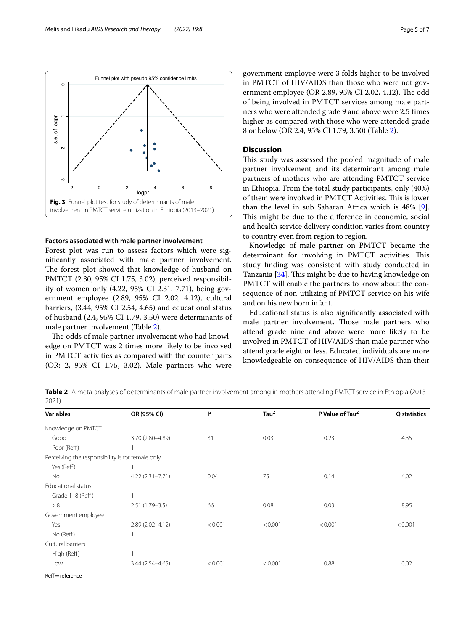

### <span id="page-4-0"></span>**Factors associated with male partner involvement**

Forest plot was run to assess factors which were signifcantly associated with male partner involvement. The forest plot showed that knowledge of husband on PMTCT (2.30, 95% CI 1.75, 3.02), perceived responsibility of women only (4.22, 95% CI 2.31, 7.71), being government employee (2.89, 95% CI 2.02, 4.12), cultural barriers, (3.44, 95% CI 2.54, 4.65) and educational status of husband (2.4, 95% CI 1.79, 3.50) were determinants of male partner involvement (Table [2](#page-4-1)).

The odds of male partner involvement who had knowledge on PMTCT was 2 times more likely to be involved in PMTCT activities as compared with the counter parts (OR: 2, 95% CI 1.75, 3.02). Male partners who were government employee were 3 folds higher to be involved in PMTCT of HIV/AIDS than those who were not government employee (OR 2.89, 95% CI 2.02, 4.12). The odd of being involved in PMTCT services among male partners who were attended grade 9 and above were 2.5 times higher as compared with those who were attended grade 8 or below (OR 2.4, 95% CI 1.79, 3.50) (Table [2\)](#page-4-1).

# **Discussion**

This study was assessed the pooled magnitude of male partner involvement and its determinant among male partners of mothers who are attending PMTCT service in Ethiopia. From the total study participants, only (40%) of them were involved in PMTCT Activities. This is lower than the level in sub Saharan Africa which is 48% [\[9](#page-5-8)]. This might be due to the difference in economic, social and health service delivery condition varies from country to country even from region to region.

Knowledge of male partner on PMTCT became the determinant for involving in PMTCT activities. This study fnding was consistent with study conducted in Tanzania [\[34](#page-6-17)]. This might be due to having knowledge on PMTCT will enable the partners to know about the consequence of non-utilizing of PMTCT service on his wife and on his new born infant.

Educational status is also signifcantly associated with male partner involvement. Those male partners who attend grade nine and above were more likely to be involved in PMTCT of HIV/AIDS than male partner who attend grade eight or less. Educated individuals are more knowledgeable on consequence of HIV/AIDS than their

<span id="page-4-1"></span>**Table 2** A meta-analyses of determinants of male partner involvement among in mothers attending PMTCT service in Ethiopia (2013– 2021)

| <b>Variables</b>                                 | OR (95% CI)         | $1^2$   | Tau <sup>2</sup> | P Value of Tau <sup>2</sup> | Q statistics |
|--------------------------------------------------|---------------------|---------|------------------|-----------------------------|--------------|
| Knowledge on PMTCT                               |                     |         |                  |                             |              |
| Good                                             | 3.70 (2.80-4.89)    | 31      | 0.03             | 0.23                        | 4.35         |
| Poor (Reff)                                      |                     |         |                  |                             |              |
| Perceiving the responsibility is for female only |                     |         |                  |                             |              |
| Yes (Reff)                                       |                     |         |                  |                             |              |
| No                                               | $4.22(2.31 - 7.71)$ | 0.04    | 75               | 0.14                        | 4.02         |
| Educational status                               |                     |         |                  |                             |              |
| Grade 1-8 (Reff)                                 |                     |         |                  |                             |              |
| > 8                                              | $2.51(1.79 - 3.5)$  | 66      | 0.08             | 0.03                        | 8.95         |
| Government employee                              |                     |         |                  |                             |              |
| Yes                                              | $2.89(2.02 - 4.12)$ | < 0.001 | < 0.001          | < 0.001                     | < 0.001      |
| No (Reff)                                        | 1                   |         |                  |                             |              |
| Cultural barriers                                |                     |         |                  |                             |              |
| High (Reff)                                      |                     |         |                  |                             |              |
| Low                                              | $3.44(2.54 - 4.65)$ | < 0.001 | < 0.001          | 0.88                        | 0.02         |

 $Ref = reference$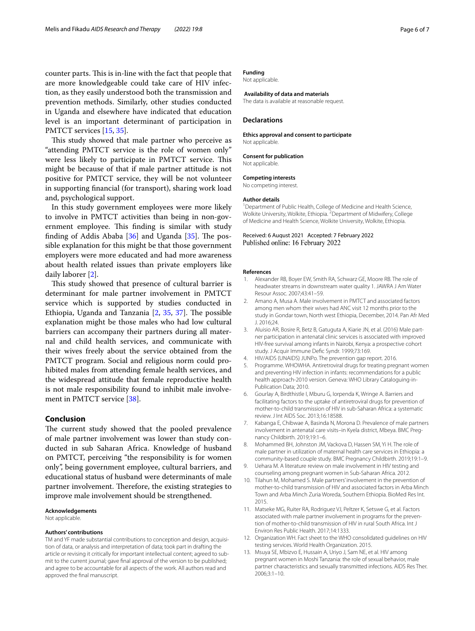counter parts. This is in-line with the fact that people that are more knowledgeable could take care of HIV infection, as they easily understood both the transmission and prevention methods. Similarly, other studies conducted in Uganda and elsewhere have indicated that education level is an important determinant of participation in PMTCT services [\[15](#page-6-1), [35](#page-6-18)].

This study showed that male partner who perceive as "attending PMTCT service is the role of women only" were less likely to participate in PMTCT service. This might be because of that if male partner attitude is not positive for PMTCT service, they will be not volunteer in supporting fnancial (for transport), sharing work load and, psychological support.

In this study government employees were more likely to involve in PMTCT activities than being in non-government employee. This finding is similar with study finding of Addis Ababa  $[36]$  and Uganda  $[35]$  $[35]$ . The possible explanation for this might be that those government employers were more educated and had more awareness about health related issues than private employers like daily laborer [\[2](#page-5-1)].

This study showed that presence of cultural barrier is determinant for male partner involvement in PMTCT service which is supported by studies conducted in Ethiopia, Uganda and Tanzania  $[2, 35, 37]$  $[2, 35, 37]$  $[2, 35, 37]$  $[2, 35, 37]$  $[2, 35, 37]$  $[2, 35, 37]$ . The possible explanation might be those males who had low cultural barriers can accompany their partners during all maternal and child health services, and communicate with their wives freely about the service obtained from the PMTCT program. Social and religious norm could prohibited males from attending female health services, and the widespread attitude that female reproductive health is not male responsibility found to inhibit male involvement in PMTCT service [\[38](#page-6-21)].

### **Conclusion**

The current study showed that the pooled prevalence of male partner involvement was lower than study conducted in sub Saharan Africa. Knowledge of husband on PMTCT, perceiving "the responsibility is for women only", being government employee, cultural barriers, and educational status of husband were determinants of male partner involvement. Therefore, the existing strategies to improve male involvement should be strengthened.

### **Acknowledgements**

Not applicable.

#### **Authors' contributions**

TM and YF made substantial contributions to conception and design, acquisition of data, or analysis and interpretation of data; took part in drafting the article or revising it critically for important intellectual content; agreed to submit to the current journal; gave fnal approval of the version to be published; and agree to be accountable for all aspects of the work. All authors read and approved the fnal manuscript.

Not applicable.

### **Availability of data and materials**

The data is available at reasonable request.

#### **Declarations**

#### **Ethics approval and consent to participate** Not applicable.

**Consent for publication**

Not applicable.

#### **Competing interests**

No competing interest.

#### **Author details**

<sup>1</sup> Department of Public Health, College of Medicine and Health Science, Wolkite University, Wolkite, Ethiopia. <sup>2</sup> Department of Midwifery, College of Medicine and Health Science, Wolkite University, Wolkite, Ethiopia.

Received: 6 August 2021 Accepted: 7 February 2022 Published online: 16 February 2022

#### **References**

- <span id="page-5-0"></span>1. Alexander RB, Boyer EW, Smith RA, Schwarz GE, Moore RB. The role of headwater streams in downstream water quality 1. JAWRA J Am Water Resour Assoc. 2007;43:41–59.
- <span id="page-5-1"></span>2. Amano A, Musa A. Male involvement in PMTCT and associated factors among men whom their wives had ANC visit 12 months prior to the study in Gondar town, North west Ethiopia, December, 2014. Pan Afr Med J. 2016;24.
- <span id="page-5-2"></span>3. Aluisio AR, Bosire R, Betz B, Gatuguta A, Kiarie JN, et al. (2016) Male partner participation in antenatal clinic services is associated with improved HIV-free survival among infants in Nairobi, Kenya: a prospective cohort study. J Acquir Immune Defc Syndr. 1999;73:169.
- <span id="page-5-3"></span>4. HIV/AIDS (UNAIDS) JUNPo. The prevention gap report. 2016.
- <span id="page-5-4"></span>5. Programme. WHOWHA. Antiretroviral drugs for treating pregnant women and preventing HIV infection in infants: recommendations for a public health approach-2010 version. Geneva: WHO Library Cataloguing-in-Publication Data; 2010.
- <span id="page-5-5"></span>6. Gourlay A, Birdthistle I, Mburu G, Iorpenda K, Wringe A. Barriers and facilitating factors to the uptake of antiretroviral drugs for prevention of mother-to-child transmission of HIV in sub-Saharan Africa: a systematic review. J Int AIDS Soc. 2013;16:18588.
- <span id="page-5-6"></span>7. Kabanga E, Chibwae A, Basinda N, Morona D. Prevalence of male partners involvement in antenatal care visits–in Kyela district, Mbeya. BMC Pregnancy Childbirth. 2019;19:1–6.
- <span id="page-5-7"></span>8. Mohammed BH, Johnston JM, Vackova D, Hassen SM, Yi H. The role of male partner in utilization of maternal health care services in Ethiopia: a community-based couple study. BMC Pregnancy Childbirth. 2019;19:1–9.
- <span id="page-5-8"></span>9. Uehara M. A literature review on male involvement in HIV testing and counseling among pregnant women in Sub-Saharan Africa. 2012.
- <span id="page-5-9"></span>10. Tilahun M, Mohamed S. Male partners' involvement in the prevention of mother-to-child transmission of HIV and associated factors in Arba Minch Town and Arba Minch Zuria Woreda, Southern Ethiopia. BioMed Res Int. 2015.
- <span id="page-5-10"></span>11. Matseke MG, Ruiter RA, Rodriguez VJ, Peltzer K, Setswe G, et al. Factors associated with male partner involvement in programs for the prevention of mother-to-child transmission of HIV in rural South Africa. Int J Environ Res Public Health. 2017;14:1333.
- <span id="page-5-11"></span>12. Organization WH. Fact sheet to the WHO consolidated guidelines on HIV testing services. World Health Organization. 2015.
- <span id="page-5-12"></span>13. Msuya SE, Mbizvo E, Hussain A, Uriyo J, Sam NE, et al. HIV among pregnant women in Moshi Tanzania: the role of sexual behavior, male partner characteristics and sexually transmitted infections. AIDS Res Ther. 2006;3:1–10.